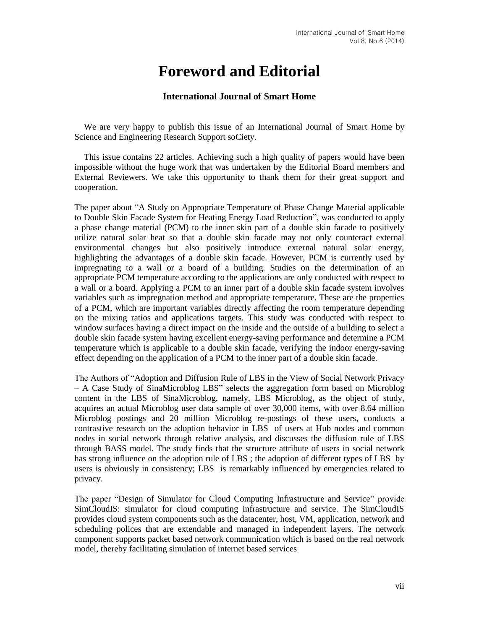## **Foreword and Editorial**

## **International Journal of Smart Home**

We are very happy to publish this issue of an International Journal of Smart Home by Science and Engineering Research Support soCiety.

This issue contains 22 articles. Achieving such a high quality of papers would have been impossible without the huge work that was undertaken by the Editorial Board members and External Reviewers. We take this opportunity to thank them for their great support and cooperation.

The paper about "A Study on Appropriate Temperature of Phase Change Material applicable to Double Skin Facade System for Heating Energy Load Reduction", was conducted to apply a phase change material (PCM) to the inner skin part of a double skin facade to positively utilize natural solar heat so that a double skin facade may not only counteract external environmental changes but also positively introduce external natural solar energy, highlighting the advantages of a double skin facade. However, PCM is currently used by impregnating to a wall or a board of a building. Studies on the determination of an appropriate PCM temperature according to the applications are only conducted with respect to a wall or a board. Applying a PCM to an inner part of a double skin facade system involves variables such as impregnation method and appropriate temperature. These are the properties of a PCM, which are important variables directly affecting the room temperature depending on the mixing ratios and applications targets. This study was conducted with respect to window surfaces having a direct impact on the inside and the outside of a building to select a double skin facade system having excellent energy-saving performance and determine a PCM temperature which is applicable to a double skin facade, verifying the indoor energy-saving effect depending on the application of a PCM to the inner part of a double skin facade.

The Authors of "Adoption and Diffusion Rule of LBS in the View of Social Network Privacy – A Case Study of SinaMicroblog LBS" selects the aggregation form based on Microblog content in the LBS of SinaMicroblog, namely, LBS Microblog, as the object of study, acquires an actual Microblog user data sample of over 30,000 items, with over 8.64 million Microblog postings and 20 million Microblog re-postings of these users, conducts a contrastive research on the adoption behavior in LBS of users at Hub nodes and common nodes in social network through relative analysis, and discusses the diffusion rule of LBS through BASS model. The study finds that the structure attribute of users in social network has strong influence on the adoption rule of LBS; the adoption of different types of LBS by users is obviously in consistency; LBS is remarkably influenced by emergencies related to privacy.

The paper "Design of Simulator for Cloud Computing Infrastructure and Service" provide SimCloudIS: simulator for cloud computing infrastructure and service. The SimCloudIS provides cloud system components such as the datacenter, host, VM, application, network and scheduling polices that are extendable and managed in independent layers. The network component supports packet based network communication which is based on the real network model, thereby facilitating simulation of internet based services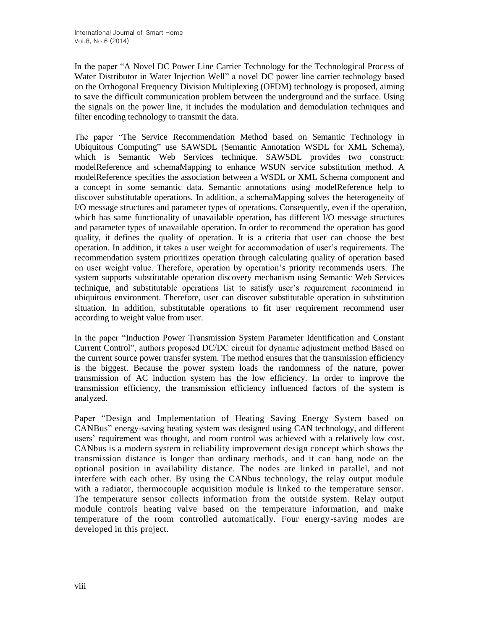In the paper "A Novel DC Power Line Carrier Technology for the Technological Process of Water Distributor in Water Injection Well" a novel DC power line carrier technology based on the Orthogonal Frequency Division Multiplexing (OFDM) technology is proposed, aiming to save the difficult communication problem between the underground and the surface. Using the signals on the power line, it includes the modulation and demodulation techniques and filter encoding technology to transmit the data.

The paper "The Service Recommendation Method based on Semantic Technology in Ubiquitous Computing" use SAWSDL (Semantic Annotation WSDL for XML Schema), which is Semantic Web Services technique. SAWSDL provides two construct: modelReference and schemaMapping to enhance WSUN service substitution method. A modelReference specifies the association between a WSDL or XML Schema component and a concept in some semantic data. Semantic annotations using modelReference help to discover substitutable operations. In addition, a schemaMapping solves the heterogeneity of I/O message structures and parameter types of operations. Consequently, even if the operation, which has same functionality of unavailable operation, has different I/O message structures and parameter types of unavailable operation. In order to recommend the operation has good quality, it defines the quality of operation. It is a criteria that user can choose the best operation. In addition, it takes a user weight for accommodation of user's requirements. The recommendation system prioritizes operation through calculating quality of operation based on user weight value. Therefore, operation by operation's priority recommends users. The system supports substitutable operation discovery mechanism using Semantic Web Services technique, and substitutable operations list to satisfy user's requirement recommend in ubiquitous environment. Therefore, user can discover substitutable operation in substitution situation. In addition, substitutable operations to fit user requirement recommend user according to weight value from user.

In the paper "Induction Power Transmission System Parameter Identification and Constant Current Control", authors proposed DC/DC circuit for dynamic adjustment method Based on the current source power transfer system. The method ensures that the transmission efficiency is the biggest. Because the power system loads the randomness of the nature, power transmission of AC induction system has the low efficiency. In order to improve the transmission efficiency, the transmission efficiency influenced factors of the system is analyzed.

Paper "Design and Implementation of Heating Saving Energy System based on CANBus" energy-saving heating system was designed using CAN technology, and different users' requirement was thought, and room control was achieved with a relatively low cost. CANbus is a modern system in reliability improvement design concept which shows the transmission distance is longer than ordinary methods, and it can hang node on the optional position in availability distance. The nodes are linked in parallel, and not interfere with each other. By using the CANbus technology, the relay output module with a radiator, thermocouple acquisition module is linked to the temperature sensor. The temperature sensor collects information from the outside system. Relay output module controls heating valve based on the temperature information, and make temperature of the room controlled automatically. Four energy-saving modes are developed in this project.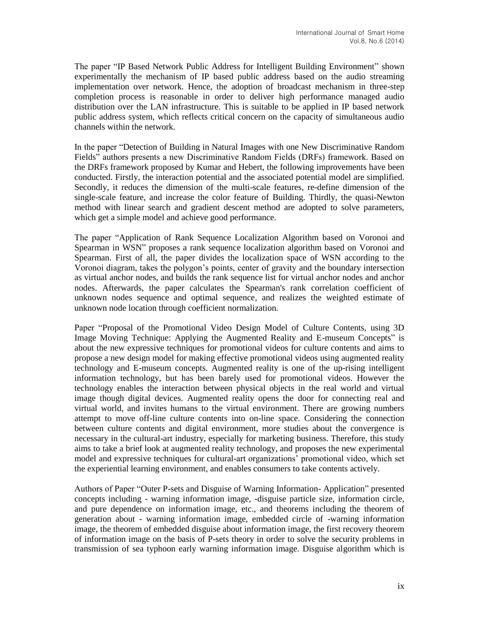The paper "IP Based Network Public Address for Intelligent Building Environment" shown experimentally the mechanism of IP based public address based on the audio streaming implementation over network. Hence, the adoption of broadcast mechanism in three-step completion process is reasonable in order to deliver high performance managed audio distribution over the LAN infrastructure. This is suitable to be applied in IP based network public address system, which reflects critical concern on the capacity of simultaneous audio channels within the network.

In the paper "Detection of Building in Natural Images with one New Discriminative Random Fields" authors presents a new Discriminative Random Fields (DRFs) framework. Based on the DRFs framework proposed by Kumar and Hebert, the following improvements have been conducted. Firstly, the interaction potential and the associated potential model are simplified. Secondly, it reduces the dimension of the multi-scale features, re-define dimension of the single-scale feature, and increase the color feature of Building. Thirdly, the quasi-Newton method with linear search and gradient descent method are adopted to solve parameters, which get a simple model and achieve good performance.

The paper "Application of Rank Sequence Localization Algorithm based on Voronoi and Spearman in WSN" proposes a rank sequence localization algorithm based on Voronoi and Spearman. First of all, the paper divides the localization space of WSN according to the Voronoi diagram, takes the polygon's points, center of gravity and the boundary intersection as virtual anchor nodes, and builds the rank sequence list for virtual anchor nodes and anchor nodes. Afterwards, the paper calculates the Spearman's rank correlation coefficient of unknown nodes sequence and optimal sequence, and realizes the weighted estimate of unknown node location through coefficient normalization.

Paper "Proposal of the Promotional Video Design Model of Culture Contents, using 3D Image Moving Technique: Applying the Augmented Reality and E-museum Concepts" is about the new expressive techniques for promotional videos for culture contents and aims to propose a new design model for making effective promotional videos using augmented reality technology and E-museum concepts. Augmented reality is one of the up-rising intelligent information technology, but has been barely used for promotional videos. However the technology enables the interaction between physical objects in the real world and virtual image though digital devices. Augmented reality opens the door for connecting real and virtual world, and invites humans to the virtual environment. There are growing numbers attempt to move off-line culture contents into on-line space. Considering the connection between culture contents and digital environment, more studies about the convergence is necessary in the cultural-art industry, especially for marketing business. Therefore, this study aims to take a brief look at augmented reality technology, and proposes the new experimental model and expressive techniques for cultural-art organizations' promotional video, which set the experiential learning environment, and enables consumers to take contents actively.

Authors of Paper "Outer P-sets and Disguise of Warning Information- Application" presented concepts including - warning information image, -disguise particle size, information circle, and pure dependence on information image, etc., and theorems including the theorem of generation about - warning information image, embedded circle of -warning information image, the theorem of embedded disguise about information image, the first recovery theorem of information image on the basis of P-sets theory in order to solve the security problems in transmission of sea typhoon early warning information image. Disguise algorithm which is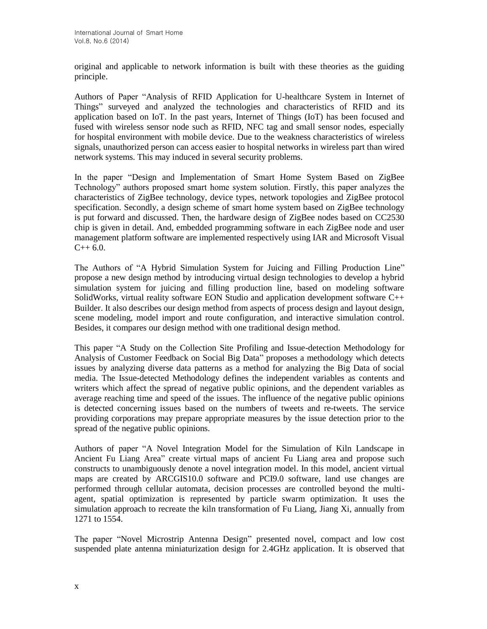original and applicable to network information is built with these theories as the guiding principle.

Authors of Paper "Analysis of RFID Application for U-healthcare System in Internet of Things" surveyed and analyzed the technologies and characteristics of RFID and its application based on IoT. In the past years, Internet of Things (IoT) has been focused and fused with wireless sensor node such as RFID, NFC tag and small sensor nodes, especially for hospital environment with mobile device. Due to the weakness characteristics of wireless signals, unauthorized person can access easier to hospital networks in wireless part than wired network systems. This may induced in several security problems.

In the paper "Design and Implementation of Smart Home System Based on ZigBee Technology" authors proposed smart home system solution. Firstly, this paper analyzes the characteristics of ZigBee technology, device types, network topologies and ZigBee protocol specification. Secondly, a design scheme of smart home system based on ZigBee technology is put forward and discussed. Then, the hardware design of ZigBee nodes based on CC2530 chip is given in detail. And, embedded programming software in each ZigBee node and user management platform software are implemented respectively using IAR and Microsoft Visual  $C++ 6.0.$ 

The Authors of "A Hybrid Simulation System for Juicing and Filling Production Line" propose a new design method by introducing virtual design technologies to develop a hybrid simulation system for juicing and filling production line, based on modeling software SolidWorks, virtual reality software EON Studio and application development software C++ Builder. It also describes our design method from aspects of process design and layout design, scene modeling, model import and route configuration, and interactive simulation control. Besides, it compares our design method with one traditional design method.

This paper "A Study on the Collection Site Profiling and Issue-detection Methodology for Analysis of Customer Feedback on Social Big Data" proposes a methodology which detects issues by analyzing diverse data patterns as a method for analyzing the Big Data of social media. The Issue-detected Methodology defines the independent variables as contents and writers which affect the spread of negative public opinions, and the dependent variables as average reaching time and speed of the issues. The influence of the negative public opinions is detected concerning issues based on the numbers of tweets and re-tweets. The service providing corporations may prepare appropriate measures by the issue detection prior to the spread of the negative public opinions.

Authors of paper "A Novel Integration Model for the Simulation of Kiln Landscape in Ancient Fu Liang Area" create virtual maps of ancient Fu Liang area and propose such constructs to unambiguously denote a novel integration model. In this model, ancient virtual maps are created by ARCGIS10.0 software and PCI9.0 software, land use changes are performed through cellular automata, decision processes are controlled beyond the multiagent, spatial optimization is represented by particle swarm optimization. It uses the simulation approach to recreate the kiln transformation of Fu Liang, Jiang Xi, annually from 1271 to 1554.

The paper "Novel Microstrip Antenna Design" presented novel, compact and low cost suspended plate antenna miniaturization design for 2.4GHz application. It is observed that